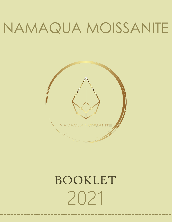# NAMAQUA MOISSANITE



# 2021 BOOKLET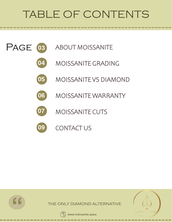## TABLE OF CONTENTS



- MOISSANITE GRADING **04**
- MOISSANITE VS DIAMOND **05**
- MOISSANITE WARRANTY **06**
- MOISSANITE CUTS **07**
- CONTACT US **09**







**"**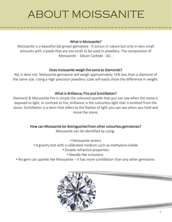## ABOUT MOISSANITE

#### What is Moissanite?

Moissanite is a beautiful lab grown gemstone . It occurs in nature but only in very small amounts with crystals that are too small to be used in jewellery. The composition of Moissanite - Silicon Carbide - SiC .

#### Does moissanite weigh the same as diamonds?

No, it does not. Moissanite gemstone will weigh approximately 15% less than a diamond of the same size. Using a high precision jewellery scale will easily show the difference in weight.

#### What is Brilliance, Fire and Scintillation?

Diamond & Moissanite fire is simply the coloured sparkle that you can see when the stone is exposed to light. In contrast to fire, brilliance is the colourless light that is emitted from the stone. Scintillation is a term that refers to the flashes of light you can see when you hold and move the stone.

#### How can Moissanite be distinguished from other colourless gemstones?

Moissanite can be identified by using:

- Moissanite testers
- A gravity test with a calibrated medium such as methylene iodide
	- Double refractive properties
		- Needle-like inclusions
- No gem can sparkle like Moissanite it has more scintillation than any other gemstone.

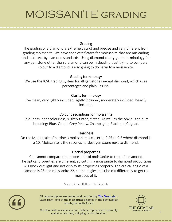## MOISSANITE grading

#### Grading

The grading of a diamond is extremely strict and precise and very different from grading moissanite. We have seen certificates for moissanite that are misleading and incorrect by diamond standards. Using diamond clarity grade terminology for any gemstone other than a diamond can be misleading. Just trying to compare colour to a diamond is also going to do harm to a moissanite.

#### Grading terminology

We use the ICSL grading system for all gemstones except diamond, which uses percentages and plain English.

#### Clarity terminology

Eye clean, very lightly included, lightly included, moderately included, heavily included

#### Colour descriptions for moissanite

Colourless, near colourless, slightly tinted, tinted. As well as the obvious colours including: Blue, Green, Grey, Yellow, Champagne, Black and Cognac.

#### **Hardness**

On the Mohs scale of hardness moissanite is closer to 9.25 to 9.5 where diamond is a 10. Moissanite is the seconds hardest gemstone next to diamond.

#### Optical properties

You cannot compare the proportions of moissanite to that of a diamond. The optical properties are different, so cutting a moissanite to diamond proportions will block out light and not display its properties properly. The critical angle of a diamond is 25 and moissanite 22, so the angles must be cut differently to get the most out of it.

Source: Jeremy Rothon - The Gem Lab



All required gems are graded and certified by [The Gem Lab](https://www.gemlab.co.za/) in Cape Town, one of the most trusted names in the gemological industry in South Africa.



We also pride ourselves in our lifetime replacement warranty against scratching, chipping or discoloration.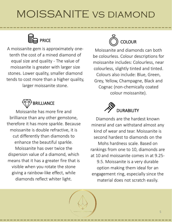## MOISSANITE vs diamond



A moissanite gem is approximately onetenth the cost of a mined diamond of equal size and quality - The value of moissanite is greater with larger size stones. Lower quality, smaller diamond tends to cost more than a higher quality, larger moissanite stone.



Moissanite has more fire and brilliance than any other gemstone, therefore it has more sparkle. Because moissanite is double refractive, it is cut differently than diamonds to enhance the beautiful sparkle. Moissanite has over twice the dispersion value of a diamond, which means that it has a greater fire that is visible when you rotate the stone giving a rainbow-like effect, while diamonds reflect whiter light.



Moissanite and diamonds can both be colourless. Colour descriptions for moissanite includes: Colourless, near colourless, slightly tinted and tinted. Colours also include: Blue, Green, Grey, Yellow, Champagne, Black and Cognac (non-chemically coated colour moissanite).



Diamonds are the hardest known mineral and can withstand almost any kind of wear and tear. Moissanite is second hardest to diamonds on the Mohs hardness scale. Based on rankings from one to 10, diamonds are at 10 and moissanite comes in at 9.25- 9.5. Moissanite is a very durable option making them ideal for an

engagement ring, especially since the material does not scratch easily.

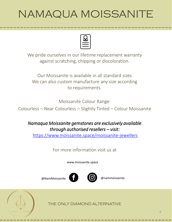## NAMAQUA MOISSANITE



We pride ourselves in our lifetime replacement warranty against scratching, chipping or discoloration.

Our Moissanite is available in all standard sizes We can also custom manufacture any size according to requirements.

Moissanite Colour Range:

Colourless – Near Colourless – Slightly Tinted – Colour Moissanite

### *Namaqua Moissanite gemstones are exclusively available through authorised resellers – visit:*

<https://www.moissanite.space/moissanite-jewellers>

For more information visit us at

www.moissanite.space

@NamMoissanite @nammoissanite



THE ONLY DIAMOND ALTERNATIVE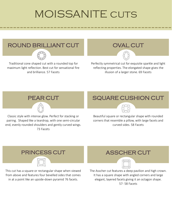## **MOISSANITE CUTS**

## ROUND BRILLIANT CUT



Traditional cone shaped cut with a rounded top for maximum light reflection. Best cut for sensational fire and brilliance. 57 Facets

### OVAL CUT

Perfectly symmetrical cut for exquisite sparkle and light reflecting properties. The elongated shape gives the illusion of a larger stone. 69 Facets





Classic style with intense glow. Perfect for stacking or pairing. Shaped like a teardrop, with one semi-circular end, evenly rounded shoulders and gently curved wings. 73 Facets

### SQUARE CUSHION CUT



Beautiful square or rectangular shape with rounded corners that resemble a pillow, with large facets and curved sides. 58 Facets

## PRINCESS CUT

This cut has a square or rectangular shape when viewed from above and features four bevelled sides that comes in at a point like an upside-down pyramid 76 facets.

### ASSCHER CUT



The Asscher cut features a deep pavilion and high crown. It has a square shape with angled corners and large elegant, layered facets giving it an octagon shape. 57- 58 Facets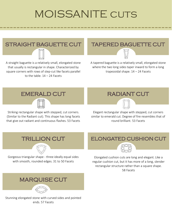## **MOISSANITE CUTS**

# STRAIGHT BAGUETTE CUT

A straight baguette is a relatively small, elongated stone that usually is rectangular in shape. Characterized by square corners with rows of step-cut like facets parallel to the table.  $14 - 24$  Facets

### TAPERED BAGUETTE CUT

A tapered baguette is a relatively small, elongated stone where the two long sides taper inward to form a long trapezoidal shape. 14 – 24 Facets

## EMERALD CUT



Striking rectangular shape with stepped, cut corners. (Similar to the Radiant cut). This shape has long facets that give out radiant and continuous flashes. 53 Facets

### RADIANT CUT

Elegant rectangular shape with stepped, cut corners similar to emerald cut. Degree of fire resembles that of round brilliant. 53 Facets

### TRILLION CUT



Gorgeous triangular shape - three ideally equal sides with smooth, rounded edges. 31 to 50 Facets

### ELONGATED CUSHION CUT



Elongated cushion cuts are long and elegant. Like a regular cushion cut, but it has more of a long, slender rectangular structure rather than a square shape. 58 Facets

## MARQUISE CUT

Stunning elongated stone with curved sides and pointed ends. 57 Facets